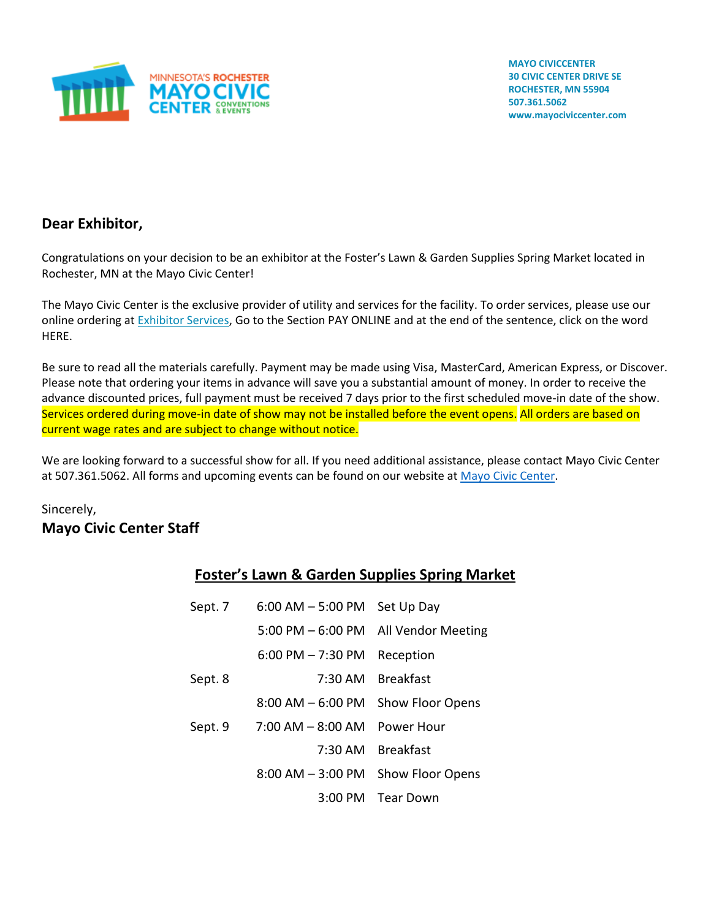

**MAYO CIVICCENTER 30 CIVIC CENTER DRIVE SE ROCHESTER, MN 55904 507.361.5062 www.mayociviccenter.com**

# **Dear Exhibitor,**

Congratulations on your decision to be an exhibitor at the Foster's Lawn & Garden Supplies Spring Market located in Rochester, MN at the Mayo Civic Center!

The Mayo Civic Center is the exclusive provider of utility and services for the facility. To order services, please use our online ordering a[t Exhibitor Services,](https://www.mayociviccenter.com/exhibitors/online-ordering/) Go to the Section PAY ONLINE and at the end of the sentence, click on the word HERE.

Be sure to read all the materials carefully. Payment may be made using Visa, MasterCard, American Express, or Discover. Please note that ordering your items in advance will save you a substantial amount of money. In order to receive the advance discounted prices, full payment must be received 7 days prior to the first scheduled move-in date of the show. Services ordered during move-in date of show may not be installed before the event opens. All orders are based on current wage rates and are subject to change without notice.

We are looking forward to a successful show for all. If you need additional assistance, please contact Mayo Civic Center at 507.361.5062. All forms and upcoming events can be found on our website a[t Mayo Civic Center.](https://www.mayociviccenter.com/)

# Sincerely, **Mayo Civic Center Staff**

| <b>Foster's Lawn &amp; Garden Supplies Spring Market</b> |
|----------------------------------------------------------|
|----------------------------------------------------------|

| Sept. 7 | $6:00$ AM $-5:00$ PM  | Set Up Day              |
|---------|-----------------------|-------------------------|
|         | $5:00$ PM $-6:00$ PM  | All Vendor Meeting      |
|         | $6:00$ PM $-7:30$ PM  | Reception               |
| Sept. 8 | $7:30$ AM             | <b>Breakfast</b>        |
|         | $8:00$ AM $-6:00$ PM  | <b>Show Floor Opens</b> |
| Sept. 9 | $7:00$ AM $-$ 8:00 AM | Power Hour              |
|         | $7:30 \text{ AM}$     | <b>Breakfast</b>        |
|         | $8:00$ AM $-$ 3:00 PM | <b>Show Floor Opens</b> |
|         | $3:00 \text{ PM}$     | Tear Down               |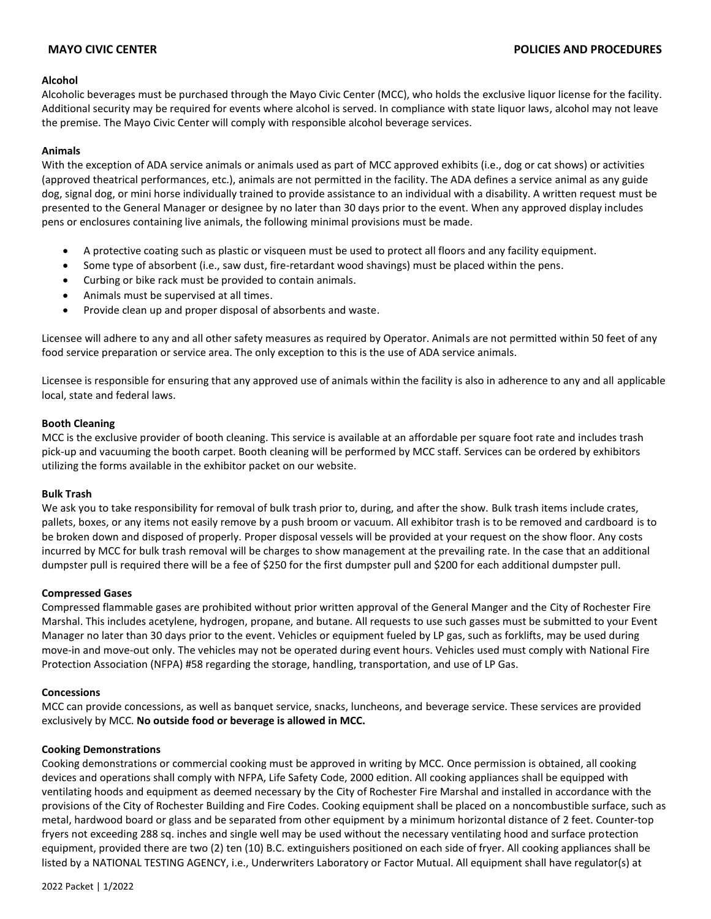### **Alcohol**

Alcoholic beverages must be purchased through the Mayo Civic Center (MCC), who holds the exclusive liquor license for the facility. Additional security may be required for events where alcohol is served. In compliance with state liquor laws, alcohol may not leave the premise. The Mayo Civic Center will comply with responsible alcohol beverage services.

### **Animals**

With the exception of ADA service animals or animals used as part of MCC approved exhibits (i.e., dog or cat shows) or activities (approved theatrical performances, etc.), animals are not permitted in the facility. The ADA defines a service animal as any guide dog, signal dog, or mini horse individually trained to provide assistance to an individual with a disability. A written request must be presented to the General Manager or designee by no later than 30 days prior to the event. When any approved display includes pens or enclosures containing live animals, the following minimal provisions must be made.

- A protective coating such as plastic or visqueen must be used to protect all floors and any facility equipment.
- Some type of absorbent (i.e., saw dust, fire-retardant wood shavings) must be placed within the pens.
- Curbing or bike rack must be provided to contain animals.
- Animals must be supervised at all times.
- Provide clean up and proper disposal of absorbents and waste.

Licensee will adhere to any and all other safety measures as required by Operator. Animals are not permitted within 50 feet of any food service preparation or service area. The only exception to this is the use of ADA service animals.

Licensee is responsible for ensuring that any approved use of animals within the facility is also in adherence to any and all applicable local, state and federal laws.

### **Booth Cleaning**

MCC is the exclusive provider of booth cleaning. This service is available at an affordable per square foot rate and includes trash pick-up and vacuuming the booth carpet. Booth cleaning will be performed by MCC staff. Services can be ordered by exhibitors utilizing the forms available in the exhibitor packet on our website.

### **Bulk Trash**

We ask you to take responsibility for removal of bulk trash prior to, during, and after the show. Bulk trash items include crates, pallets, boxes, or any items not easily remove by a push broom or vacuum. All exhibitor trash is to be removed and cardboard is to be broken down and disposed of properly. Proper disposal vessels will be provided at your request on the show floor. Any costs incurred by MCC for bulk trash removal will be charges to show management at the prevailing rate. In the case that an additional dumpster pull is required there will be a fee of \$250 for the first dumpster pull and \$200 for each additional dumpster pull.

### **Compressed Gases**

Compressed flammable gases are prohibited without prior written approval of the General Manger and the City of Rochester Fire Marshal. This includes acetylene, hydrogen, propane, and butane. All requests to use such gasses must be submitted to your Event Manager no later than 30 days prior to the event. Vehicles or equipment fueled by LP gas, such as forklifts, may be used during move-in and move-out only. The vehicles may not be operated during event hours. Vehicles used must comply with National Fire Protection Association (NFPA) #58 regarding the storage, handling, transportation, and use of LP Gas.

### **Concessions**

MCC can provide concessions, as well as banquet service, snacks, luncheons, and beverage service. These services are provided exclusively by MCC. **No outside food or beverage is allowed in MCC.**

### **Cooking Demonstrations**

Cooking demonstrations or commercial cooking must be approved in writing by MCC. Once permission is obtained, all cooking devices and operations shall comply with NFPA, Life Safety Code, 2000 edition. All cooking appliances shall be equipped with ventilating hoods and equipment as deemed necessary by the City of Rochester Fire Marshal and installed in accordance with the provisions of the City of Rochester Building and Fire Codes. Cooking equipment shall be placed on a noncombustible surface, such as metal, hardwood board or glass and be separated from other equipment by a minimum horizontal distance of 2 feet. Counter-top fryers not exceeding 288 sq. inches and single well may be used without the necessary ventilating hood and surface protection equipment, provided there are two (2) ten (10) B.C. extinguishers positioned on each side of fryer. All cooking appliances shall be listed by a NATIONAL TESTING AGENCY, i.e., Underwriters Laboratory or Factor Mutual. All equipment shall have regulator(s) at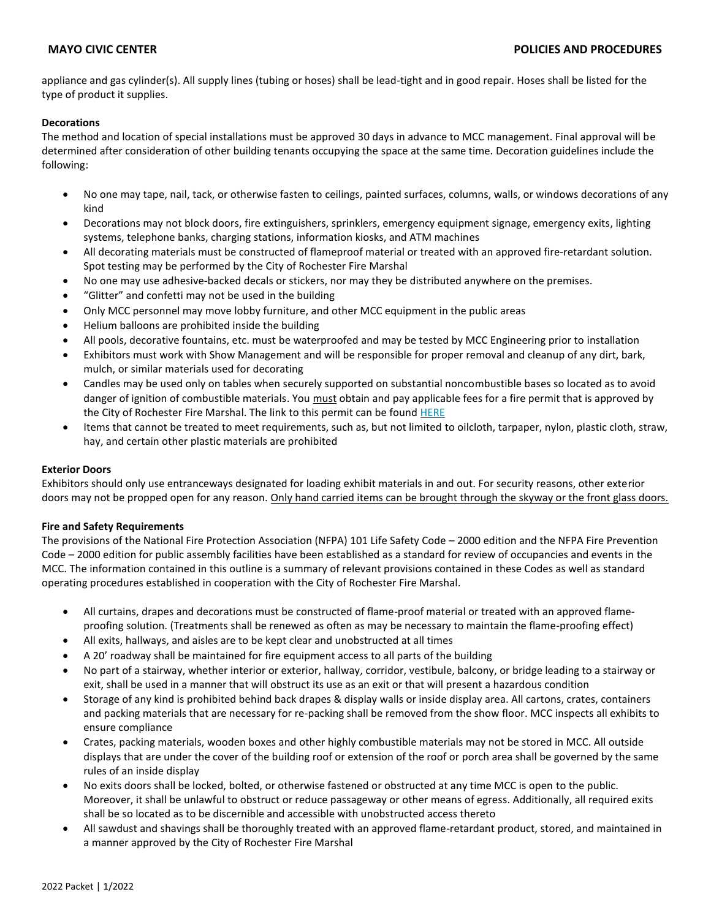appliance and gas cylinder(s). All supply lines (tubing or hoses) shall be lead-tight and in good repair. Hoses shall be listed for the type of product it supplies.

### **Decorations**

The method and location of special installations must be approved 30 days in advance to MCC management. Final approval will be determined after consideration of other building tenants occupying the space at the same time. Decoration guidelines include the following:

- No one may tape, nail, tack, or otherwise fasten to ceilings, painted surfaces, columns, walls, or windows decorations of any kind
- Decorations may not block doors, fire extinguishers, sprinklers, emergency equipment signage, emergency exits, lighting systems, telephone banks, charging stations, information kiosks, and ATM machines
- All decorating materials must be constructed of flameproof material or treated with an approved fire-retardant solution. Spot testing may be performed by the City of Rochester Fire Marshal
- No one may use adhesive-backed decals or stickers, nor may they be distributed anywhere on the premises.
- "Glitter" and confetti may not be used in the building
- Only MCC personnel may move lobby furniture, and other MCC equipment in the public areas
- Helium balloons are prohibited inside the building
- All pools, decorative fountains, etc. must be waterproofed and may be tested by MCC Engineering prior to installation
- Exhibitors must work with Show Management and will be responsible for proper removal and cleanup of any dirt, bark, mulch, or similar materials used for decorating
- Candles may be used only on tables when securely supported on substantial noncombustible bases so located as to avoid danger of ignition of combustible materials. You must obtain and pay applicable fees for a fire permit that is approved by the City of Rochester Fire Marshal. The link to this permit can be found [HERE](https://www.rochestermn.gov/home/showpublisheddocument/30965/637534730844370000)
- Items that cannot be treated to meet requirements, such as, but not limited to oilcloth, tarpaper, nylon, plastic cloth, straw, hay, and certain other plastic materials are prohibited

### **Exterior Doors**

Exhibitors should only use entranceways designated for loading exhibit materials in and out. For security reasons, other exterior doors may not be propped open for any reason. Only hand carried items can be brought through the skyway or the front glass doors.

### **Fire and Safety Requirements**

The provisions of the National Fire Protection Association (NFPA) 101 Life Safety Code – 2000 edition and the NFPA Fire Prevention Code – 2000 edition for public assembly facilities have been established as a standard for review of occupancies and events in the MCC. The information contained in this outline is a summary of relevant provisions contained in these Codes as well as standard operating procedures established in cooperation with the City of Rochester Fire Marshal.

- All curtains, drapes and decorations must be constructed of flame-proof material or treated with an approved flameproofing solution. (Treatments shall be renewed as often as may be necessary to maintain the flame-proofing effect)
- All exits, hallways, and aisles are to be kept clear and unobstructed at all times
- A 20' roadway shall be maintained for fire equipment access to all parts of the building
- No part of a stairway, whether interior or exterior, hallway, corridor, vestibule, balcony, or bridge leading to a stairway or exit, shall be used in a manner that will obstruct its use as an exit or that will present a hazardous condition
- Storage of any kind is prohibited behind back drapes & display walls or inside display area. All cartons, crates, containers and packing materials that are necessary for re-packing shall be removed from the show floor. MCC inspects all exhibits to ensure compliance
- Crates, packing materials, wooden boxes and other highly combustible materials may not be stored in MCC. All outside displays that are under the cover of the building roof or extension of the roof or porch area shall be governed by the same rules of an inside display
- No exits doors shall be locked, bolted, or otherwise fastened or obstructed at any time MCC is open to the public. Moreover, it shall be unlawful to obstruct or reduce passageway or other means of egress. Additionally, all required exits shall be so located as to be discernible and accessible with unobstructed access thereto
- All sawdust and shavings shall be thoroughly treated with an approved flame-retardant product, stored, and maintained in a manner approved by the City of Rochester Fire Marshal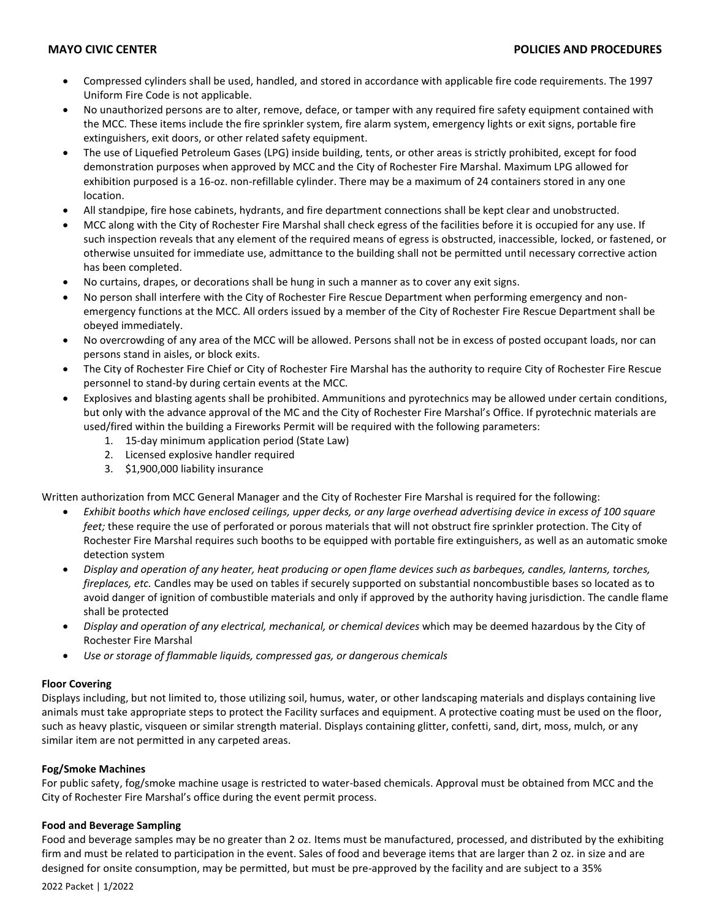- Compressed cylinders shall be used, handled, and stored in accordance with applicable fire code requirements. The 1997 Uniform Fire Code is not applicable.
- No unauthorized persons are to alter, remove, deface, or tamper with any required fire safety equipment contained with the MCC. These items include the fire sprinkler system, fire alarm system, emergency lights or exit signs, portable fire extinguishers, exit doors, or other related safety equipment.
- The use of Liquefied Petroleum Gases (LPG) inside building, tents, or other areas is strictly prohibited, except for food demonstration purposes when approved by MCC and the City of Rochester Fire Marshal. Maximum LPG allowed for exhibition purposed is a 16-oz. non-refillable cylinder. There may be a maximum of 24 containers stored in any one location.
- All standpipe, fire hose cabinets, hydrants, and fire department connections shall be kept clear and unobstructed.
- MCC along with the City of Rochester Fire Marshal shall check egress of the facilities before it is occupied for any use. If such inspection reveals that any element of the required means of egress is obstructed, inaccessible, locked, or fastened, or otherwise unsuited for immediate use, admittance to the building shall not be permitted until necessary corrective action has been completed.
- No curtains, drapes, or decorations shall be hung in such a manner as to cover any exit signs.
- No person shall interfere with the City of Rochester Fire Rescue Department when performing emergency and nonemergency functions at the MCC. All orders issued by a member of the City of Rochester Fire Rescue Department shall be obeyed immediately.
- No overcrowding of any area of the MCC will be allowed. Persons shall not be in excess of posted occupant loads, nor can persons stand in aisles, or block exits.
- The City of Rochester Fire Chief or City of Rochester Fire Marshal has the authority to require City of Rochester Fire Rescue personnel to stand-by during certain events at the MCC.
- Explosives and blasting agents shall be prohibited. Ammunitions and pyrotechnics may be allowed under certain conditions, but only with the advance approval of the MC and the City of Rochester Fire Marshal's Office. If pyrotechnic materials are used/fired within the building a Fireworks Permit will be required with the following parameters:
	- 1. 15-day minimum application period (State Law)
	- 2. Licensed explosive handler required
	- 3. \$1,900,000 liability insurance

Written authorization from MCC General Manager and the City of Rochester Fire Marshal is required for the following:

- *Exhibit booths which have enclosed ceilings, upper decks, or any large overhead advertising device in excess of 100 square feet;* these require the use of perforated or porous materials that will not obstruct fire sprinkler protection. The City of Rochester Fire Marshal requires such booths to be equipped with portable fire extinguishers, as well as an automatic smoke detection system
- *Display and operation of any heater, heat producing or open flame devices such as barbeques, candles, lanterns, torches, fireplaces, etc.* Candles may be used on tables if securely supported on substantial noncombustible bases so located as to avoid danger of ignition of combustible materials and only if approved by the authority having jurisdiction. The candle flame shall be protected
- *Display and operation of any electrical, mechanical, or chemical devices* which may be deemed hazardous by the City of Rochester Fire Marshal
- *Use or storage of flammable liquids, compressed gas, or dangerous chemicals*

### **Floor Covering**

Displays including, but not limited to, those utilizing soil, humus, water, or other landscaping materials and displays containing live animals must take appropriate steps to protect the Facility surfaces and equipment. A protective coating must be used on the floor, such as heavy plastic, visqueen or similar strength material. Displays containing glitter, confetti, sand, dirt, moss, mulch, or any similar item are not permitted in any carpeted areas.

### **Fog/Smoke Machines**

For public safety, fog/smoke machine usage is restricted to water-based chemicals. Approval must be obtained from MCC and the City of Rochester Fire Marshal's office during the event permit process.

### **Food and Beverage Sampling**

Food and beverage samples may be no greater than 2 oz. Items must be manufactured, processed, and distributed by the exhibiting firm and must be related to participation in the event. Sales of food and beverage items that are larger than 2 oz. in size and are designed for onsite consumption, may be permitted, but must be pre-approved by the facility and are subject to a 35%

2022 Packet | 1/2022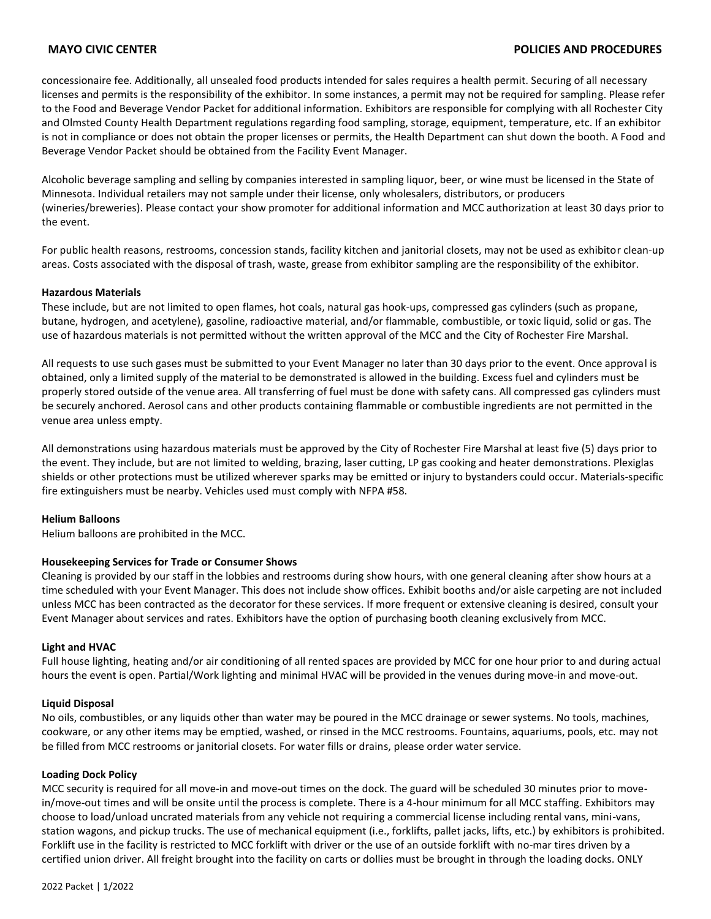### **MAYO CIVIC CENTER POLICIES AND PROCEDURES**

concessionaire fee. Additionally, all unsealed food products intended for sales requires a health permit. Securing of all necessary licenses and permits is the responsibility of the exhibitor. In some instances, a permit may not be required for sampling. Please refer to the Food and Beverage Vendor Packet for additional information. Exhibitors are responsible for complying with all Rochester City and Olmsted County Health Department regulations regarding food sampling, storage, equipment, temperature, etc. If an exhibitor is not in compliance or does not obtain the proper licenses or permits, the Health Department can shut down the booth. A Food and Beverage Vendor Packet should be obtained from the Facility Event Manager.

Alcoholic beverage sampling and selling by companies interested in sampling liquor, beer, or wine must be licensed in the State of Minnesota. Individual retailers may not sample under their license, only wholesalers, distributors, or producers (wineries/breweries). Please contact your show promoter for additional information and MCC authorization at least 30 days prior to the event.

For public health reasons, restrooms, concession stands, facility kitchen and janitorial closets, may not be used as exhibitor clean-up areas. Costs associated with the disposal of trash, waste, grease from exhibitor sampling are the responsibility of the exhibitor.

### **Hazardous Materials**

These include, but are not limited to open flames, hot coals, natural gas hook-ups, compressed gas cylinders (such as propane, butane, hydrogen, and acetylene), gasoline, radioactive material, and/or flammable, combustible, or toxic liquid, solid or gas. The use of hazardous materials is not permitted without the written approval of the MCC and the City of Rochester Fire Marshal.

All requests to use such gases must be submitted to your Event Manager no later than 30 days prior to the event. Once approval is obtained, only a limited supply of the material to be demonstrated is allowed in the building. Excess fuel and cylinders must be properly stored outside of the venue area. All transferring of fuel must be done with safety cans. All compressed gas cylinders must be securely anchored. Aerosol cans and other products containing flammable or combustible ingredients are not permitted in the venue area unless empty.

All demonstrations using hazardous materials must be approved by the City of Rochester Fire Marshal at least five (5) days prior to the event. They include, but are not limited to welding, brazing, laser cutting, LP gas cooking and heater demonstrations. Plexiglas shields or other protections must be utilized wherever sparks may be emitted or injury to bystanders could occur. Materials-specific fire extinguishers must be nearby. Vehicles used must comply with NFPA #58.

### **Helium Balloons**

Helium balloons are prohibited in the MCC.

### **Housekeeping Services for Trade or Consumer Shows**

Cleaning is provided by our staff in the lobbies and restrooms during show hours, with one general cleaning after show hours at a time scheduled with your Event Manager. This does not include show offices. Exhibit booths and/or aisle carpeting are not included unless MCC has been contracted as the decorator for these services. If more frequent or extensive cleaning is desired, consult your Event Manager about services and rates. Exhibitors have the option of purchasing booth cleaning exclusively from MCC.

### **Light and HVAC**

Full house lighting, heating and/or air conditioning of all rented spaces are provided by MCC for one hour prior to and during actual hours the event is open. Partial/Work lighting and minimal HVAC will be provided in the venues during move-in and move-out.

### **Liquid Disposal**

No oils, combustibles, or any liquids other than water may be poured in the MCC drainage or sewer systems. No tools, machines, cookware, or any other items may be emptied, washed, or rinsed in the MCC restrooms. Fountains, aquariums, pools, etc. may not be filled from MCC restrooms or janitorial closets. For water fills or drains, please order water service.

### **Loading Dock Policy**

MCC security is required for all move-in and move-out times on the dock. The guard will be scheduled 30 minutes prior to movein/move-out times and will be onsite until the process is complete. There is a 4-hour minimum for all MCC staffing. Exhibitors may choose to load/unload uncrated materials from any vehicle not requiring a commercial license including rental vans, mini-vans, station wagons, and pickup trucks. The use of mechanical equipment (i.e., forklifts, pallet jacks, lifts, etc.) by exhibitors is prohibited. Forklift use in the facility is restricted to MCC forklift with driver or the use of an outside forklift with no-mar tires driven by a certified union driver. All freight brought into the facility on carts or dollies must be brought in through the loading docks. ONLY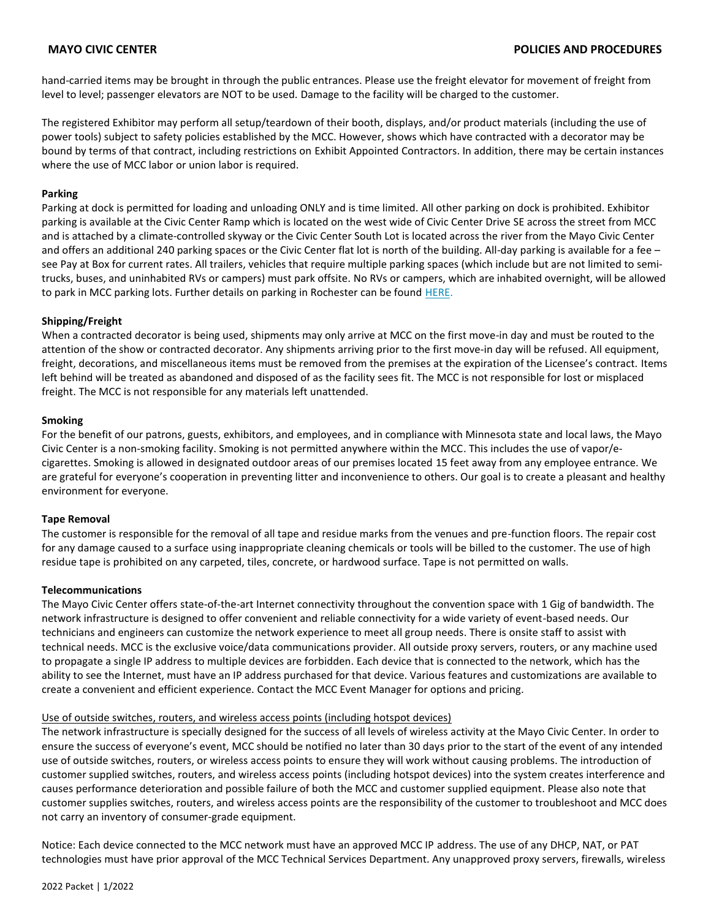hand-carried items may be brought in through the public entrances. Please use the freight elevator for movement of freight from level to level; passenger elevators are NOT to be used. Damage to the facility will be charged to the customer.

The registered Exhibitor may perform all setup/teardown of their booth, displays, and/or product materials (including the use of power tools) subject to safety policies established by the MCC. However, shows which have contracted with a decorator may be bound by terms of that contract, including restrictions on Exhibit Appointed Contractors. In addition, there may be certain instances where the use of MCC labor or union labor is required.

### **Parking**

Parking at dock is permitted for loading and unloading ONLY and is time limited. All other parking on dock is prohibited. Exhibitor parking is available at the Civic Center Ramp which is located on the west wide of Civic Center Drive SE across the street from MCC and is attached by a climate-controlled skyway or the Civic Center South Lot is located across the river from the Mayo Civic Center and offers an additional 240 parking spaces or the Civic Center flat lot is north of the building. All-day parking is available for a fee – see Pay at Box for current rates. All trailers, vehicles that require multiple parking spaces (which include but are not limited to semitrucks, buses, and uninhabited RVs or campers) must park offsite. No RVs or campers, which are inhabited overnight, will be allowed to park in MCC parking lots. Further details on parking in Rochester can be found [HERE.](https://www.rochestermn.gov/government/departments/public-parking/general-information)

### **Shipping/Freight**

When a contracted decorator is being used, shipments may only arrive at MCC on the first move-in day and must be routed to the attention of the show or contracted decorator. Any shipments arriving prior to the first move-in day will be refused. All equipment, freight, decorations, and miscellaneous items must be removed from the premises at the expiration of the Licensee's contract. Items left behind will be treated as abandoned and disposed of as the facility sees fit. The MCC is not responsible for lost or misplaced freight. The MCC is not responsible for any materials left unattended.

### **Smoking**

For the benefit of our patrons, guests, exhibitors, and employees, and in compliance with Minnesota state and local laws, the Mayo Civic Center is a non-smoking facility. Smoking is not permitted anywhere within the MCC. This includes the use of vapor/ecigarettes. Smoking is allowed in designated outdoor areas of our premises located 15 feet away from any employee entrance. We are grateful for everyone's cooperation in preventing litter and inconvenience to others. Our goal is to create a pleasant and healthy environment for everyone.

### **Tape Removal**

The customer is responsible for the removal of all tape and residue marks from the venues and pre-function floors. The repair cost for any damage caused to a surface using inappropriate cleaning chemicals or tools will be billed to the customer. The use of high residue tape is prohibited on any carpeted, tiles, concrete, or hardwood surface. Tape is not permitted on walls.

### **Telecommunications**

The Mayo Civic Center offers state-of-the-art Internet connectivity throughout the convention space with 1 Gig of bandwidth. The network infrastructure is designed to offer convenient and reliable connectivity for a wide variety of event-based needs. Our technicians and engineers can customize the network experience to meet all group needs. There is onsite staff to assist with technical needs. MCC is the exclusive voice/data communications provider. All outside proxy servers, routers, or any machine used to propagate a single IP address to multiple devices are forbidden. Each device that is connected to the network, which has the ability to see the Internet, must have an IP address purchased for that device. Various features and customizations are available to create a convenient and efficient experience. Contact the MCC Event Manager for options and pricing.

### Use of outside switches, routers, and wireless access points (including hotspot devices)

The network infrastructure is specially designed for the success of all levels of wireless activity at the Mayo Civic Center. In order to ensure the success of everyone's event, MCC should be notified no later than 30 days prior to the start of the event of any intended use of outside switches, routers, or wireless access points to ensure they will work without causing problems. The introduction of customer supplied switches, routers, and wireless access points (including hotspot devices) into the system creates interference and causes performance deterioration and possible failure of both the MCC and customer supplied equipment. Please also note that customer supplies switches, routers, and wireless access points are the responsibility of the customer to troubleshoot and MCC does not carry an inventory of consumer-grade equipment.

Notice: Each device connected to the MCC network must have an approved MCC IP address. The use of any DHCP, NAT, or PAT technologies must have prior approval of the MCC Technical Services Department. Any unapproved proxy servers, firewalls, wireless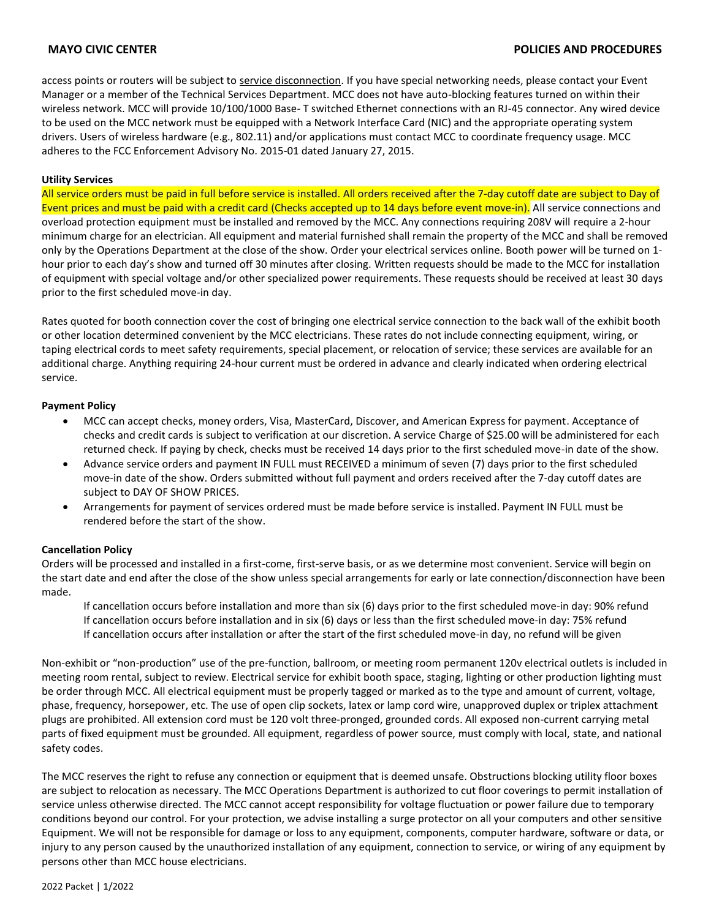access points or routers will be subject to service disconnection. If you have special networking needs, please contact your Event Manager or a member of the Technical Services Department. MCC does not have auto-blocking features turned on within their wireless network. MCC will provide 10/100/1000 Base- T switched Ethernet connections with an RJ-45 connector. Any wired device to be used on the MCC network must be equipped with a Network Interface Card (NIC) and the appropriate operating system drivers. Users of wireless hardware (e.g., 802.11) and/or applications must contact MCC to coordinate frequency usage. MCC adheres to the FCC Enforcement Advisory No. 2015-01 dated January 27, 2015.

### **Utility Services**

All service orders must be paid in full before service is installed. All orders received after the 7-day cutoff date are subject to Day of Event prices and must be paid with a credit card (Checks accepted up to 14 days before event move-in). All service connections and overload protection equipment must be installed and removed by the MCC. Any connections requiring 208V will require a 2-hour minimum charge for an electrician. All equipment and material furnished shall remain the property of the MCC and shall be removed only by the Operations Department at the close of the show. Order your electrical services online. Booth power will be turned on 1 hour prior to each day's show and turned off 30 minutes after closing. Written requests should be made to the MCC for installation of equipment with special voltage and/or other specialized power requirements. These requests should be received at least 30 days prior to the first scheduled move-in day.

Rates quoted for booth connection cover the cost of bringing one electrical service connection to the back wall of the exhibit booth or other location determined convenient by the MCC electricians. These rates do not include connecting equipment, wiring, or taping electrical cords to meet safety requirements, special placement, or relocation of service; these services are available for an additional charge. Anything requiring 24-hour current must be ordered in advance and clearly indicated when ordering electrical service.

### **Payment Policy**

- MCC can accept checks, money orders, Visa, MasterCard, Discover, and American Express for payment. Acceptance of checks and credit cards is subject to verification at our discretion. A service Charge of \$25.00 will be administered for each returned check. If paying by check, checks must be received 14 days prior to the first scheduled move-in date of the show.
- Advance service orders and payment IN FULL must RECEIVED a minimum of seven (7) days prior to the first scheduled move-in date of the show. Orders submitted without full payment and orders received after the 7-day cutoff dates are subject to DAY OF SHOW PRICES.
- Arrangements for payment of services ordered must be made before service is installed. Payment IN FULL must be rendered before the start of the show.

### **Cancellation Policy**

Orders will be processed and installed in a first-come, first-serve basis, or as we determine most convenient. Service will begin on the start date and end after the close of the show unless special arrangements for early or late connection/disconnection have been made.

If cancellation occurs before installation and more than six (6) days prior to the first scheduled move-in day: 90% refund If cancellation occurs before installation and in six (6) days or less than the first scheduled move-in day: 75% refund If cancellation occurs after installation or after the start of the first scheduled move-in day, no refund will be given

Non-exhibit or "non-production" use of the pre-function, ballroom, or meeting room permanent 120v electrical outlets is included in meeting room rental, subject to review. Electrical service for exhibit booth space, staging, lighting or other production lighting must be order through MCC. All electrical equipment must be properly tagged or marked as to the type and amount of current, voltage, phase, frequency, horsepower, etc. The use of open clip sockets, latex or lamp cord wire, unapproved duplex or triplex attachment plugs are prohibited. All extension cord must be 120 volt three-pronged, grounded cords. All exposed non-current carrying metal parts of fixed equipment must be grounded. All equipment, regardless of power source, must comply with local, state, and national safety codes.

The MCC reserves the right to refuse any connection or equipment that is deemed unsafe. Obstructions blocking utility floor boxes are subject to relocation as necessary. The MCC Operations Department is authorized to cut floor coverings to permit installation of service unless otherwise directed. The MCC cannot accept responsibility for voltage fluctuation or power failure due to temporary conditions beyond our control. For your protection, we advise installing a surge protector on all your computers and other sensitive Equipment. We will not be responsible for damage or loss to any equipment, components, computer hardware, software or data, or injury to any person caused by the unauthorized installation of any equipment, connection to service, or wiring of any equipment by persons other than MCC house electricians.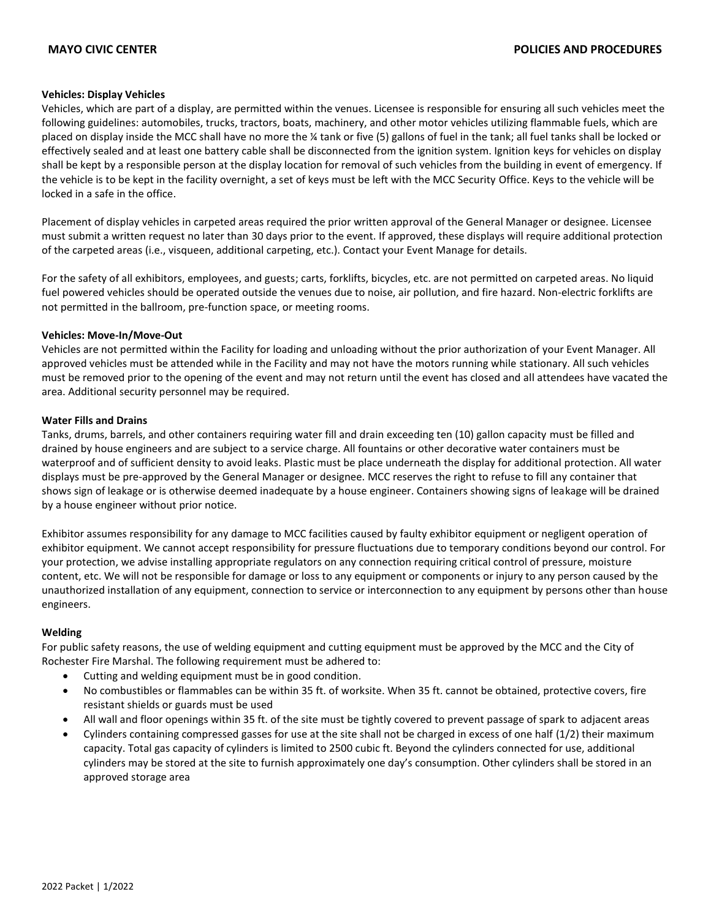### **Vehicles: Display Vehicles**

Vehicles, which are part of a display, are permitted within the venues. Licensee is responsible for ensuring all such vehicles meet the following guidelines: automobiles, trucks, tractors, boats, machinery, and other motor vehicles utilizing flammable fuels, which are placed on display inside the MCC shall have no more the ¼ tank or five (5) gallons of fuel in the tank; all fuel tanks shall be locked or effectively sealed and at least one battery cable shall be disconnected from the ignition system. Ignition keys for vehicles on display shall be kept by a responsible person at the display location for removal of such vehicles from the building in event of emergency. If the vehicle is to be kept in the facility overnight, a set of keys must be left with the MCC Security Office. Keys to the vehicle will be locked in a safe in the office.

Placement of display vehicles in carpeted areas required the prior written approval of the General Manager or designee. Licensee must submit a written request no later than 30 days prior to the event. If approved, these displays will require additional protection of the carpeted areas (i.e., visqueen, additional carpeting, etc.). Contact your Event Manage for details.

For the safety of all exhibitors, employees, and guests; carts, forklifts, bicycles, etc. are not permitted on carpeted areas. No liquid fuel powered vehicles should be operated outside the venues due to noise, air pollution, and fire hazard. Non-electric forklifts are not permitted in the ballroom, pre-function space, or meeting rooms.

### **Vehicles: Move-In/Move-Out**

Vehicles are not permitted within the Facility for loading and unloading without the prior authorization of your Event Manager. All approved vehicles must be attended while in the Facility and may not have the motors running while stationary. All such vehicles must be removed prior to the opening of the event and may not return until the event has closed and all attendees have vacated the area. Additional security personnel may be required.

### **Water Fills and Drains**

Tanks, drums, barrels, and other containers requiring water fill and drain exceeding ten (10) gallon capacity must be filled and drained by house engineers and are subject to a service charge. All fountains or other decorative water containers must be waterproof and of sufficient density to avoid leaks. Plastic must be place underneath the display for additional protection. All water displays must be pre-approved by the General Manager or designee. MCC reserves the right to refuse to fill any container that shows sign of leakage or is otherwise deemed inadequate by a house engineer. Containers showing signs of leakage will be drained by a house engineer without prior notice.

Exhibitor assumes responsibility for any damage to MCC facilities caused by faulty exhibitor equipment or negligent operation of exhibitor equipment. We cannot accept responsibility for pressure fluctuations due to temporary conditions beyond our control. For your protection, we advise installing appropriate regulators on any connection requiring critical control of pressure, moisture content, etc. We will not be responsible for damage or loss to any equipment or components or injury to any person caused by the unauthorized installation of any equipment, connection to service or interconnection to any equipment by persons other than house engineers.

### **Welding**

For public safety reasons, the use of welding equipment and cutting equipment must be approved by the MCC and the City of Rochester Fire Marshal. The following requirement must be adhered to:

- Cutting and welding equipment must be in good condition.
- No combustibles or flammables can be within 35 ft. of worksite. When 35 ft. cannot be obtained, protective covers, fire resistant shields or guards must be used
- All wall and floor openings within 35 ft. of the site must be tightly covered to prevent passage of spark to adjacent areas
- Cylinders containing compressed gasses for use at the site shall not be charged in excess of one half (1/2) their maximum capacity. Total gas capacity of cylinders is limited to 2500 cubic ft. Beyond the cylinders connected for use, additional cylinders may be stored at the site to furnish approximately one day's consumption. Other cylinders shall be stored in an approved storage area